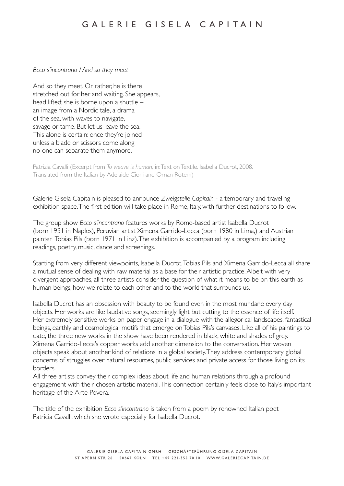## *Ecco s'incontrano / And so they meet*

And so they meet. Or rather, he is there stretched out for her and waiting. She appears, head lifted; she is borne upon a shuttle – an image from a Nordic tale, a drama of the sea, with waves to navigate, savage or tame. But let us leave the sea. This alone is certain: once they're joined  $$ unless a blade or scissors come along – no one can separate them anymore.

Patrizia Cavalli (Excerpt from *To weave is human,* in: Text on Textile. Isabella Ducrot, 2008. Translated from the Italian by Adelaide Cioni and Ornan Rotem)

Galerie Gisela Capitain is pleased to announce *Zweigstelle Capitain* - a temporary and traveling exhibition space. The first edition will take place in Rome, Italy, with further destinations to follow.

The group show *Ecco s'incontrano* features works by Rome-based artist Isabella Ducrot (born 1931 in Naples), Peruvian artist Ximena Garrido-Lecca (born 1980 in Lima,) and Austrian painter Tobias Pils (born 1971 in Linz). The exhibition is accompanied by a program including readings, poetry, music, dance and screenings.

Starting from very different viewpoints, Isabella Ducrot, Tobias Pils and Ximena Garrido-Lecca all share a mutual sense of dealing with raw material as a base for their artistic practice. Albeit with very divergent approaches, all three artists consider the question of what it means to be on this earth as human beings, how we relate to each other and to the world that surrounds us.

Isabella Ducrot has an obsession with beauty to be found even in the most mundane every day objects. Her works are like laudative songs, seemingly light but cutting to the essence of life itself. Her extremely sensitive works on paper engage in a dialogue with the allegorical landscapes, fantastical beings, earthly and cosmological motifs that emerge on Tobias Pils's canvases. Like all of his paintings to date, the three new works in the show have been rendered in black, white and shades of grey. Ximena Garrido-Lecca's copper works add another dimension to the conversation. Her woven objects speak about another kind of relations in a global society. They address contemporary global concerns of struggles over natural resources, public services and private access for those living on its borders.

All three artists convey their complex ideas about life and human relations through a profound engagement with their chosen artistic material. This connection certainly feels close to Italy's important heritage of the Arte Povera.

The title of the exhibition *Ecco s'incontrano* is taken from a poem by renowned Italian poet Patricia Cavalli, which she wrote especially for Isabella Ducrot.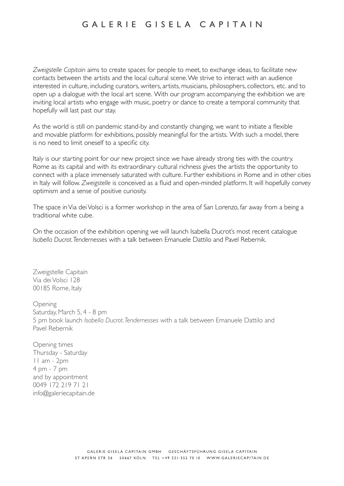*Zweigstelle Capitain* aims to create spaces for people to meet, to exchange ideas, to facilitate new contacts between the artists and the local cultural scene. We strive to interact with an audience interested in culture, including curators, writers, artists, musicians, philosophers, collectors, etc. and to open up a dialogue with the local art scene. With our program accompanying the exhibition we are inviting local artists who engage with music, poetry or dance to create a temporal community that hopefully will last past our stay.

As the world is still on pandemic stand-by and constantly changing, we want to initiate a flexible and movable platform for exhibitions, possibly meaningful for the artists. With such a model, there is no need to limit oneself to a specific city.

Italy is our starting point for our new project since we have already strong ties with the country. Rome as its capital and with its extraordinary cultural richness gives the artists the opportunity to connect with a place immensely saturated with culture. Further exhibitions in Rome and in other cities in Italy will follow. *Zweigstelle* is conceived as a fluid and open-minded platform. It will hopefully convey optimism and a sense of positive curiosity.

The space in Via dei Volsci is a former workshop in the area of San Lorenzo, far away from a being a traditional white cube.

On the occasion of the exhibition opening we will launch Isabella Ducrot's most recent catalogue *Isabella Ducrot. Tendernesses* with a talk between Emanuele Dattilo and Pavel Rebernik.

Zweigstelle Capitain Via dei Volsci 128 00185 Rome, Italy

Opening Saturday, March 5, 4 - 8 pm 5 pm book launch *Isabella Ducrot. Tendernesses* with a talk between Emanuele Dattilo and Pavel Rebernik

Opening times Thursday - Saturday 11 am - 2pm 4 pm - 7 pm and by appointment 0049 172 219 71 21 info@galeriecapitain.de